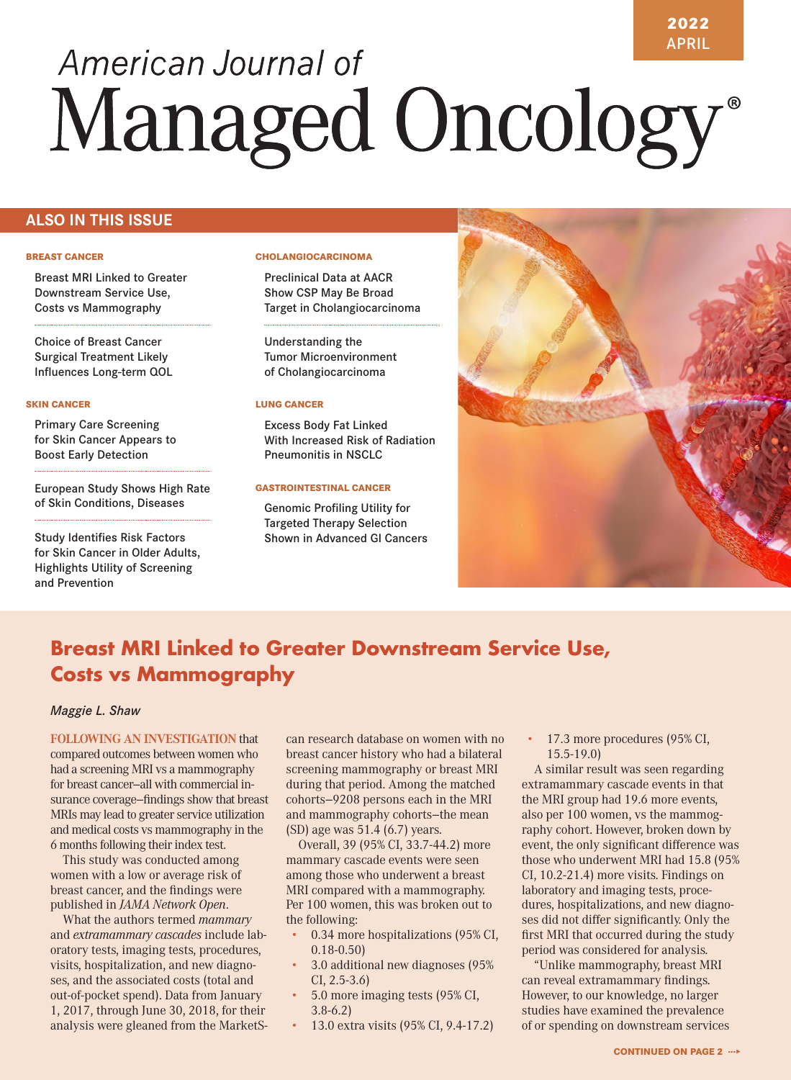# APRIL American Journal of Managed Oncology®

# **ALSO IN THIS ISSUE**

#### **BREAST CANCER**

Breast MRI Linked to Greater Downstream Service Use, Costs vs Mammography

Choice of Breast Cancer Surgical Treatment Likely Influences Long-term QOL

#### **SKIN CANCER**

Primary Care Screening for Skin Cancer Appears to Boost Early Detection

European Study Shows High Rate of Skin Conditions, Diseases

Study Identifies Risk Factors for Skin Cancer in Older Adults, Highlights Utility of Screening and Prevention

### **CHOLANGIOCARCINOMA**

Preclinical Data at AACR Show CSP May Be Broad Target in Cholangiocarcinoma

Understanding the Tumor Microenvironment of Cholangiocarcinoma

#### **LUNG CANCER**

Excess Body Fat Linked With Increased Risk of Radiation Pneumonitis in NSCLC

#### **GASTROINTESTINAL CANCER**

Genomic Profiling Utility for Targeted Therapy Selection Shown in Advanced GI Cancers



**2022**

# **Breast MRI Linked to Greater Downstream Service Use, Costs vs Mammography**

### *Maggie L. Shaw*

**FOLLOWING AN INVESTIGATION** that compared outcomes between women who had a screening MRI vs a mammography for breast cancer—all with commercial insurance coverage—findings show that breast MRIs may lead to greater service utilization and medical costs vs mammography in the 6 months following their index test.

This study was conducted among women with a low or average risk of breast cancer, and the findings were published in *JAMA Network Open*.

What the authors termed *mammary* and *extramammary cascades* include laboratory tests, imaging tests, procedures, visits, hospitalization, and new diagnoses, and the associated costs (total and out-of-pocket spend). Data from January 1, 2017, through June 30, 2018, for their analysis were gleaned from the MarketS- can research database on women with no breast cancer history who had a bilateral screening mammography or breast MRI during that period. Among the matched cohorts—9208 persons each in the MRI and mammography cohorts—the mean (SD) age was 51.4 (6.7) years.

Overall, 39 (95% CI, 33.7-44.2) more mammary cascade events were seen among those who underwent a breast MRI compared with a mammography. Per 100 women, this was broken out to the following:

- 0.34 more hospitalizations (95% CI, 0.18-0.50)
- 3.0 additional new diagnoses (95% CI, 2.5-3.6)
- 5.0 more imaging tests (95% CI, 3.8-6.2)
- 13.0 extra visits (95% CI, 9.4-17.2)

• 17.3 more procedures (95% CI, 15.5-19.0)

A similar result was seen regarding extramammary cascade events in that the MRI group had 19.6 more events, also per 100 women, vs the mammography cohort. However, broken down by event, the only significant difference was those who underwent MRI had 15.8 (95% CI, 10.2-21.4) more visits. Findings on laboratory and imaging tests, procedures, hospitalizations, and new diagnoses did not differ significantly. Only the first MRI that occurred during the study period was considered for analysis.

"Unlike mammography, breast MRI can reveal extramammary findings. However, to our knowledge, no larger studies have examined the prevalence of or spending on downstream services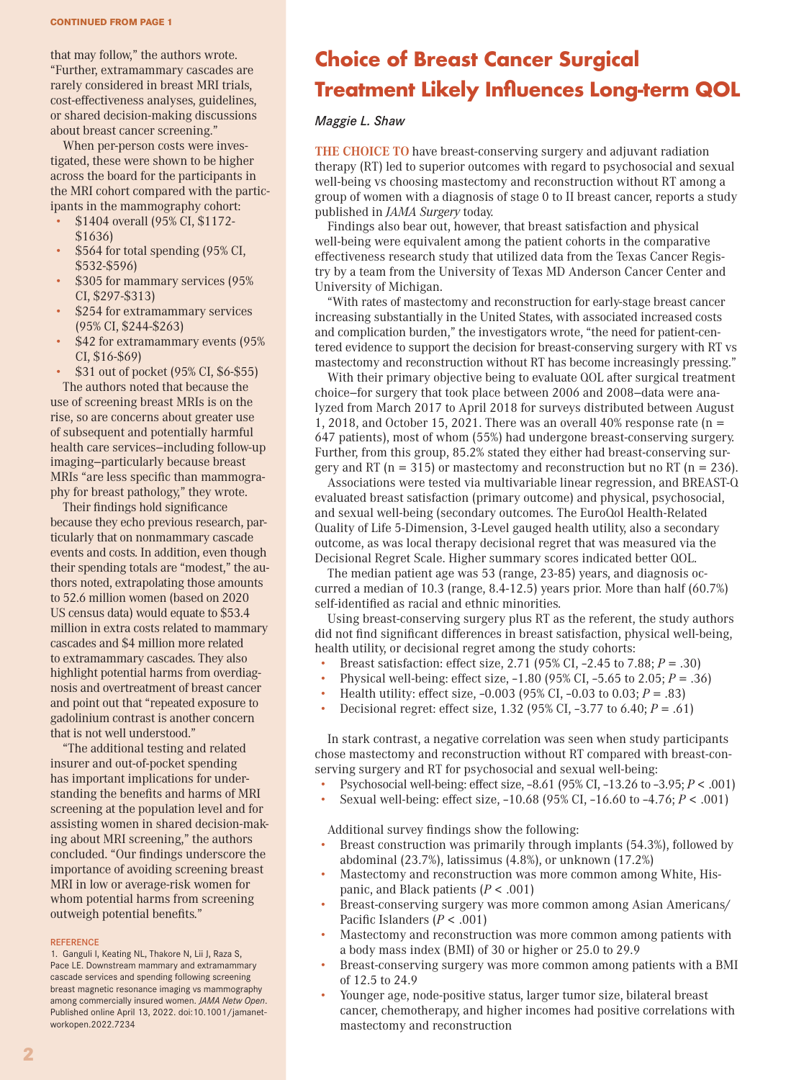that may follow," the authors wrote. "Further, extramammary cascades are rarely considered in breast MRI trials, cost-effectiveness analyses, guidelines, or shared decision-making discussions about breast cancer screening."

When per-person costs were investigated, these were shown to be higher across the board for the participants in the MRI cohort compared with the participants in the mammography cohort:

- \$1404 overall (95% CI, \$1172- \$1636)
- \$564 for total spending (95% CI, \$532-\$596)
- \$305 for mammary services (95% CI, \$297-\$313)
- \$254 for extramammary services (95% CI, \$244-\$263)
- \$42 for extramammary events (95%) CI, \$16-\$69)
- \$31 out of pocket (95% CI, \$6-\$55)

The authors noted that because the use of screening breast MRIs is on the rise, so are concerns about greater use of subsequent and potentially harmful health care services—including follow-up imaging—particularly because breast MRIs "are less specific than mammography for breast pathology," they wrote.

Their findings hold significance because they echo previous research, particularly that on nonmammary cascade events and costs. In addition, even though their spending totals are "modest," the authors noted, extrapolating those amounts to 52.6 million women (based on 2020 US census data) would equate to \$53.4 million in extra costs related to mammary cascades and \$4 million more related to extramammary cascades. They also highlight potential harms from overdiagnosis and overtreatment of breast cancer and point out that "repeated exposure to gadolinium contrast is another concern that is not well understood."

"The additional testing and related insurer and out-of-pocket spending has important implications for understanding the benefits and harms of MRI screening at the population level and for assisting women in shared decision-making about MRI screening," the authors concluded. "Our findings underscore the importance of avoiding screening breast MRI in low or average-risk women for whom potential harms from screening outweigh potential benefits."

#### **REFERENCE**

1. Ganguli I, Keating NL, Thakore N, Lii J, Raza S, Pace LE. Downstream mammary and extramammary cascade services and spending following screening breast magnetic resonance imaging vs mammography among commercially insured women. *JAMA Netw Open*. Published online April 13, 2022. doi:10.1001/jamanetworkopen.2022.7234

# **Choice of Breast Cancer Surgical Treatment Likely Influences Long-term QOL**

### *Maggie L. Shaw*

**THE CHOICE TO** have breast-conserving surgery and adjuvant radiation therapy (RT) led to superior outcomes with regard to psychosocial and sexual well-being vs choosing mastectomy and reconstruction without RT among a group of women with a diagnosis of stage 0 to II breast cancer, reports a study published in *JAMA Surgery* today.

Findings also bear out, however, that breast satisfaction and physical well-being were equivalent among the patient cohorts in the comparative effectiveness research study that utilized data from the Texas Cancer Registry by a team from the University of Texas MD Anderson Cancer Center and University of Michigan.

"With rates of mastectomy and reconstruction for early-stage breast cancer increasing substantially in the United States, with associated increased costs and complication burden," the investigators wrote, "the need for patient-centered evidence to support the decision for breast-conserving surgery with RT vs mastectomy and reconstruction without RT has become increasingly pressing."

With their primary objective being to evaluate QOL after surgical treatment choice—for surgery that took place between 2006 and 2008—data were analyzed from March 2017 to April 2018 for surveys distributed between August 1, 2018, and October 15, 2021. There was an overall 40% response rate ( $n =$ 647 patients), most of whom (55%) had undergone breast-conserving surgery. Further, from this group, 85.2% stated they either had breast-conserving surgery and RT ( $n = 315$ ) or mastectomy and reconstruction but no RT ( $n = 236$ ).

Associations were tested via multivariable linear regression, and BREAST-Q evaluated breast satisfaction (primary outcome) and physical, psychosocial, and sexual well-being (secondary outcomes. The EuroQol Health-Related Quality of Life 5-Dimension, 3-Level gauged health utility, also a secondary outcome, as was local therapy decisional regret that was measured via the Decisional Regret Scale. Higher summary scores indicated better QOL.

The median patient age was 53 (range, 23-85) years, and diagnosis occurred a median of 10.3 (range, 8.4-12.5) years prior. More than half (60.7%) self-identified as racial and ethnic minorities.

Using breast-conserving surgery plus RT as the referent, the study authors did not find significant differences in breast satisfaction, physical well-being, health utility, or decisional regret among the study cohorts:

- Breast satisfaction: effect size, 2.71 (95% CI, –2.45 to 7.88; *P* = .30)
- Physical well-being: effect size,  $-1.80$  (95% CI,  $-5.65$  to 2.05;  $P = .36$ )
- Health utility: effect size,  $-0.003$  (95% CI,  $-0.03$  to 0.03;  $P = .83$ )
- Decisional regret: effect size, 1.32 (95% CI,  $-3.77$  to 6.40;  $P = .61$ )

In stark contrast, a negative correlation was seen when study participants chose mastectomy and reconstruction without RT compared with breast-conserving surgery and RT for psychosocial and sexual well-being:

- Psychosocial well-being: effect size, –8.61 (95% CI, –13.26 to –3.95; *P* < .001)
- Sexual well-being: effect size, –10.68 (95% CI, –16.60 to –4.76; *P* < .001)

Additional survey findings show the following:

- Breast construction was primarily through implants (54.3%), followed by abdominal (23.7%), latissimus (4.8%), or unknown (17.2%)
- Mastectomy and reconstruction was more common among White, Hispanic, and Black patients (*P* < .001)
- Breast-conserving surgery was more common among Asian Americans/ Pacific Islanders (*P* < .001)
- Mastectomy and reconstruction was more common among patients with a body mass index (BMI) of 30 or higher or 25.0 to 29.9
- Breast-conserving surgery was more common among patients with a BMI of 12.5 to 24.9
- Younger age, node-positive status, larger tumor size, bilateral breast cancer, chemotherapy, and higher incomes had positive correlations with mastectomy and reconstruction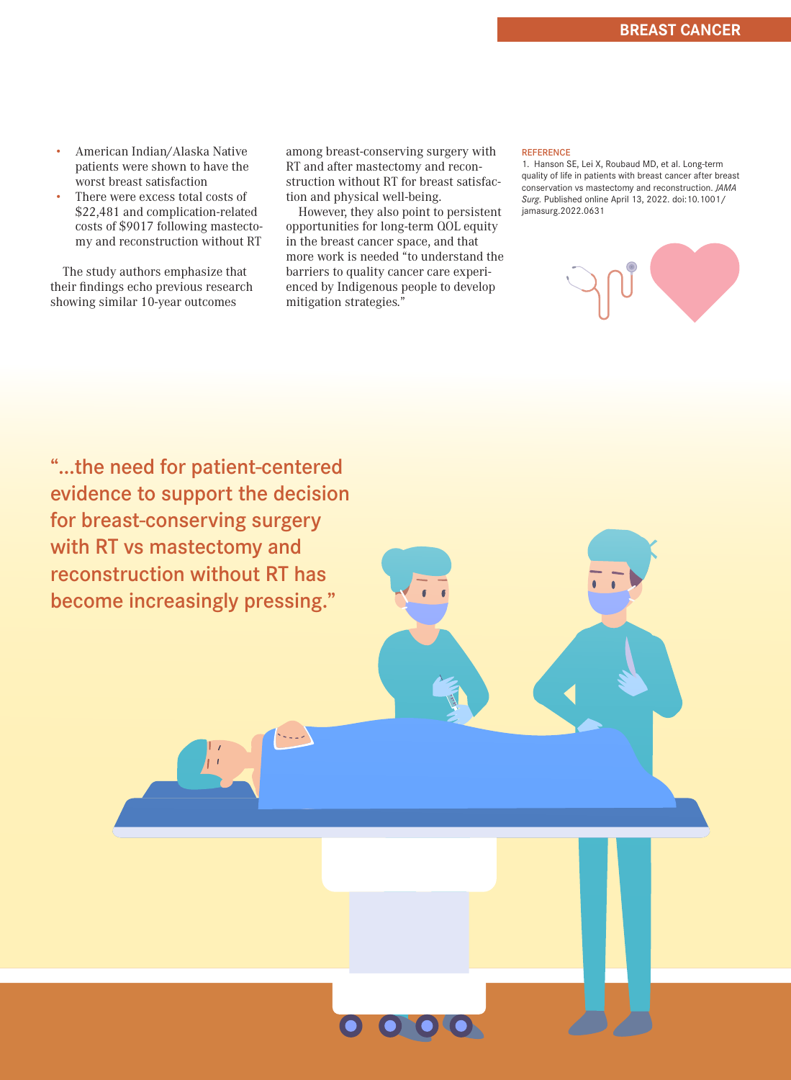- American Indian/Alaska Native patients were shown to have the worst breast satisfaction
- There were excess total costs of \$22,481 and complication-related costs of \$9017 following mastectomy and reconstruction without RT

The study authors emphasize that their findings echo previous research showing similar 10-year outcomes

among breast-conserving surgery with RT and after mastectomy and reconstruction without RT for breast satisfaction and physical well-being.

However, they also point to persistent opportunities for long-term QOL equity in the breast cancer space, and that more work is needed "to understand the barriers to quality cancer care experienced by Indigenous people to develop mitigation strategies."

#### **REFERENCE**

1. Hanson SE, Lei X, Roubaud MD, et al. Long-term quality of life in patients with breast cancer after breast conservation vs mastectomy and reconstruction. *JAMA Surg.* Published online April 13, 2022. doi:10.1001/ jamasurg.2022.0631



"...the need for patient-centered evidence to support the decision for breast-conserving surgery with RT vs mastectomy and reconstruction without RT has become increasingly pressing."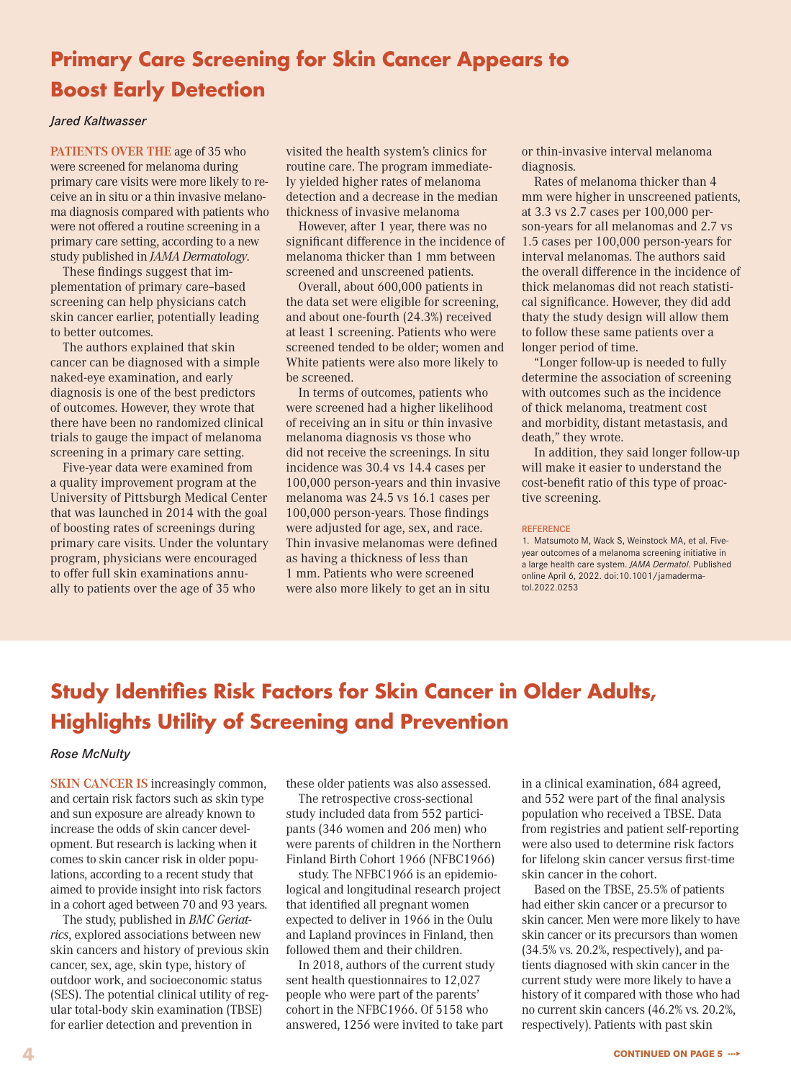# **Primary Care Screening for Skin Cancer Appears to Boost Early Detection**

### *Jared Kaltwasser*

**PATIENTS OVER THE** age of 35 who were screened for melanoma during primary care visits were more likely to receive an in situ or a thin invasive melanoma diagnosis compared with patients who were not offered a routine screening in a primary care setting, according to a new study published in *JAMA Dermatology*.

These findings suggest that implementation of primary care–based screening can help physicians catch skin cancer earlier, potentially leading to better outcomes.

The authors explained that skin cancer can be diagnosed with a simple naked-eye examination, and early diagnosis is one of the best predictors of outcomes. However, they wrote that there have been no randomized clinical trials to gauge the impact of melanoma screening in a primary care setting.

Five-year data were examined from a quality improvement program at the University of Pittsburgh Medical Center that was launched in 2014 with the goal of boosting rates of screenings during primary care visits. Under the voluntary program, physicians were encouraged to offer full skin examinations annually to patients over the age of 35 who

visited the health system's clinics for routine care. The program immediately yielded higher rates of melanoma detection and a decrease in the median thickness of invasive melanoma

However, after 1 year, there was no significant difference in the incidence of melanoma thicker than 1 mm between screened and unscreened patients.

Overall, about 600,000 patients in the data set were eligible for screening, and about one-fourth (24.3%) received at least 1 screening. Patients who were screened tended to be older; women and White patients were also more likely to be screened.

In terms of outcomes, patients who were screened had a higher likelihood of receiving an in situ or thin invasive melanoma diagnosis vs those who did not receive the screenings. In situ incidence was 30.4 vs 14.4 cases per 100,000 person-years and thin invasive melanoma was 24.5 vs 16.1 cases per 100,000 person-years. Those findings were adjusted for age, sex, and race. Thin invasive melanomas were defined as having a thickness of less than 1 mm. Patients who were screened were also more likely to get an in situ

or thin-invasive interval melanoma diagnosis.

Rates of melanoma thicker than 4 mm were higher in unscreened patients, at 3.3 vs 2.7 cases per 100,000 person-years for all melanomas and 2.7 vs 1.5 cases per 100,000 person-years for interval melanomas. The authors said the overall difference in the incidence of thick melanomas did not reach statistical significance. However, they did add thaty the study design will allow them to follow these same patients over a longer period of time.

"Longer follow-up is needed to fully determine the association of screening with outcomes such as the incidence of thick melanoma, treatment cost and morbidity, distant metastasis, and death," they wrote.

In addition, they said longer follow-up will make it easier to understand the cost-benefit ratio of this type of proactive screening.

#### **REFERENCE**

1. Matsumoto M, Wack S, Weinstock MA, et al. Fiveyear outcomes of a melanoma screening initiative in a large health care system. *JAMA Dermatol*. Published online April 6, 2022. doi:10.1001/jamadermatol.2022.0253

# **Study Identifies Risk Factors for Skin Cancer in Older Adults, Highlights Utility of Screening and Prevention**

### *Rose McNulty*

**SKIN CANCER IS** increasingly common, and certain risk factors such as skin type and sun exposure are already known to increase the odds of skin cancer development. But research is lacking when it comes to skin cancer risk in older populations, according to a recent study that aimed to provide insight into risk factors in a cohort aged between 70 and 93 years.

The study, published in *BMC Geriatrics*, explored associations between new skin cancers and history of previous skin cancer, sex, age, skin type, history of outdoor work, and socioeconomic status (SES). The potential clinical utility of regular total-body skin examination (TBSE) for earlier detection and prevention in

these older patients was also assessed.

The retrospective cross-sectional study included data from 552 participants (346 women and 206 men) who were parents of children in the Northern Finland Birth Cohort 1966 (NFBC1966)

study. The NFBC1966 is an epidemiological and longitudinal research project that identified all pregnant women expected to deliver in 1966 in the Oulu and Lapland provinces in Finland, then followed them and their children.

In 2018, authors of the current study sent health questionnaires to 12,027 people who were part of the parents' cohort in the NFBC1966. Of 5158 who answered, 1256 were invited to take part in a clinical examination, 684 agreed, and 552 were part of the final analysis population who received a TBSE. Data from registries and patient self-reporting were also used to determine risk factors for lifelong skin cancer versus first-time skin cancer in the cohort.

Based on the TBSE, 25.5% of patients had either skin cancer or a precursor to skin cancer. Men were more likely to have skin cancer or its precursors than women (34.5% vs. 20.2%, respectively), and patients diagnosed with skin cancer in the current study were more likely to have a history of it compared with those who had no current skin cancers (46.2% vs. 20.2%, respectively). Patients with past skin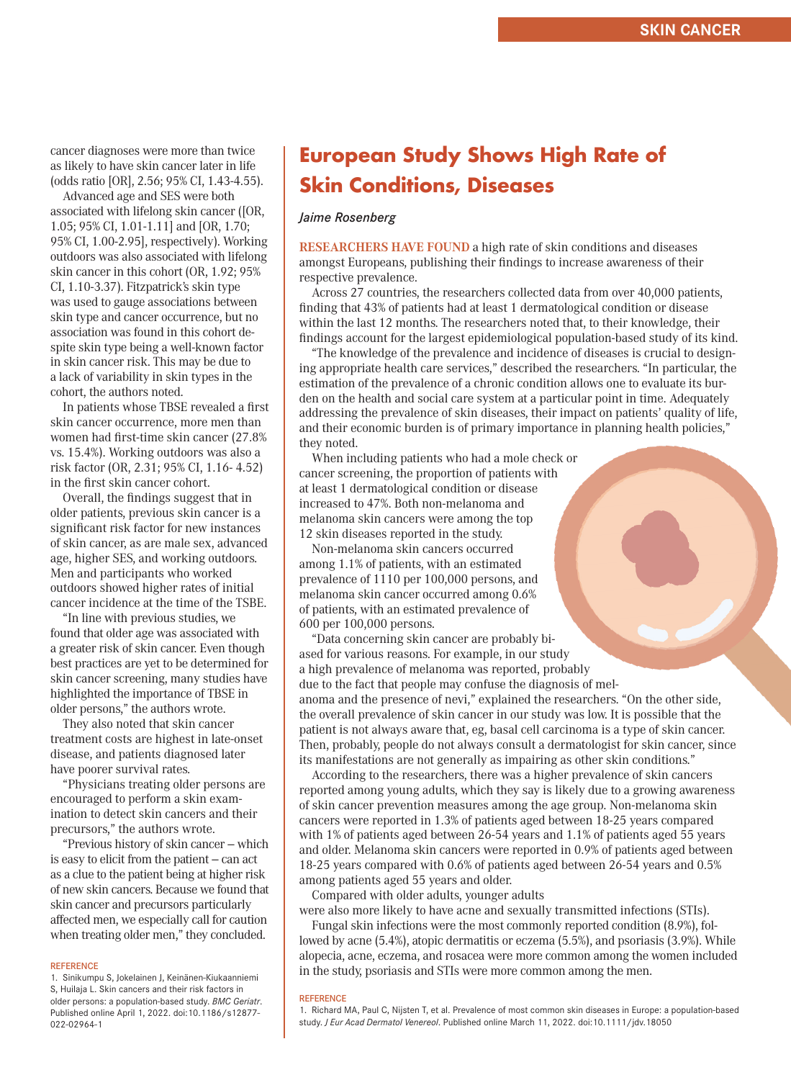cancer diagnoses were more than twice as likely to have skin cancer later in life (odds ratio [OR], 2.56; 95% CI, 1.43-4.55).

Advanced age and SES were both associated with lifelong skin cancer ([OR, 1.05; 95% CI, 1.01-1.11] and [OR, 1.70; 95% CI, 1.00-2.95], respectively). Working outdoors was also associated with lifelong skin cancer in this cohort (OR, 1.92; 95% CI, 1.10-3.37). Fitzpatrick's skin type was used to gauge associations between skin type and cancer occurrence, but no association was found in this cohort despite skin type being a well-known factor in skin cancer risk. This may be due to a lack of variability in skin types in the cohort, the authors noted.

In patients whose TBSE revealed a first skin cancer occurrence, more men than women had first-time skin cancer (27.8% vs. 15.4%). Working outdoors was also a risk factor (OR, 2.31; 95% CI, 1.16- 4.52) in the first skin cancer cohort.

Overall, the findings suggest that in older patients, previous skin cancer is a significant risk factor for new instances of skin cancer, as are male sex, advanced age, higher SES, and working outdoors. Men and participants who worked outdoors showed higher rates of initial cancer incidence at the time of the TSBE.

"In line with previous studies, we found that older age was associated with a greater risk of skin cancer. Even though best practices are yet to be determined for skin cancer screening, many studies have highlighted the importance of TBSE in older persons," the authors wrote.

They also noted that skin cancer treatment costs are highest in late-onset disease, and patients diagnosed later have poorer survival rates.

"Physicians treating older persons are encouraged to perform a skin examination to detect skin cancers and their precursors," the authors wrote.

"Previous history of skin cancer — which is easy to elicit from the patient — can act as a clue to the patient being at higher risk of new skin cancers. Because we found that skin cancer and precursors particularly affected men, we especially call for caution when treating older men," they concluded.

#### **REFERENCE**

1. Sinikumpu S, Jokelainen J, Keinänen-Kiukaanniemi S, Huilaja L. Skin cancers and their risk factors in older persons: a population-based study. *BMC Geriatr*. Published online April 1, 2022. doi:10.1186/s12877- 022-02964-1

# **European Study Shows High Rate of Skin Conditions, Diseases**

### *Jaime Rosenberg*

**RESEARCHERS HAVE FOUND** a high rate of skin conditions and diseases amongst Europeans, publishing their findings to increase awareness of their respective prevalence.

Across 27 countries, the researchers collected data from over 40,000 patients, finding that 43% of patients had at least 1 dermatological condition or disease within the last 12 months. The researchers noted that, to their knowledge, their findings account for the largest epidemiological population-based study of its kind.

"The knowledge of the prevalence and incidence of diseases is crucial to designing appropriate health care services," described the researchers. "In particular, the estimation of the prevalence of a chronic condition allows one to evaluate its burden on the health and social care system at a particular point in time. Adequately addressing the prevalence of skin diseases, their impact on patients' quality of life, and their economic burden is of primary importance in planning health policies," they noted.

When including patients who had a mole check or cancer screening, the proportion of patients with at least 1 dermatological condition or disease increased to 47%. Both non-melanoma and melanoma skin cancers were among the top 12 skin diseases reported in the study.

Non-melanoma skin cancers occurred among 1.1% of patients, with an estimated prevalence of 1110 per 100,000 persons, and melanoma skin cancer occurred among 0.6% of patients, with an estimated prevalence of 600 per 100,000 persons.

"Data concerning skin cancer are probably biased for various reasons. For example, in our study a high prevalence of melanoma was reported, probably due to the fact that people may confuse the diagnosis of mel-

anoma and the presence of nevi," explained the researchers. "On the other side, the overall prevalence of skin cancer in our study was low. It is possible that the patient is not always aware that, eg, basal cell carcinoma is a type of skin cancer. Then, probably, people do not always consult a dermatologist for skin cancer, since its manifestations are not generally as impairing as other skin conditions."

According to the researchers, there was a higher prevalence of skin cancers reported among young adults, which they say is likely due to a growing awareness of skin cancer prevention measures among the age group. Non-melanoma skin cancers were reported in 1.3% of patients aged between 18-25 years compared with 1% of patients aged between 26-54 years and 1.1% of patients aged 55 years and older. Melanoma skin cancers were reported in 0.9% of patients aged between 18-25 years compared with 0.6% of patients aged between 26-54 years and 0.5% among patients aged 55 years and older.

Compared with older adults, younger adults

were also more likely to have acne and sexually transmitted infections (STIs).

Fungal skin infections were the most commonly reported condition (8.9%), followed by acne (5.4%), atopic dermatitis or eczema (5.5%), and psoriasis (3.9%). While alopecia, acne, eczema, and rosacea were more common among the women included in the study, psoriasis and STIs were more common among the men.

#### REFERENCE

<sup>1.</sup> Richard MA, Paul C, Nijsten T, et al. Prevalence of most common skin diseases in Europe: a population-based study. *J Eur Acad Dermatol Venereol*. Published online March 11, 2022. doi:10.1111/jdv.18050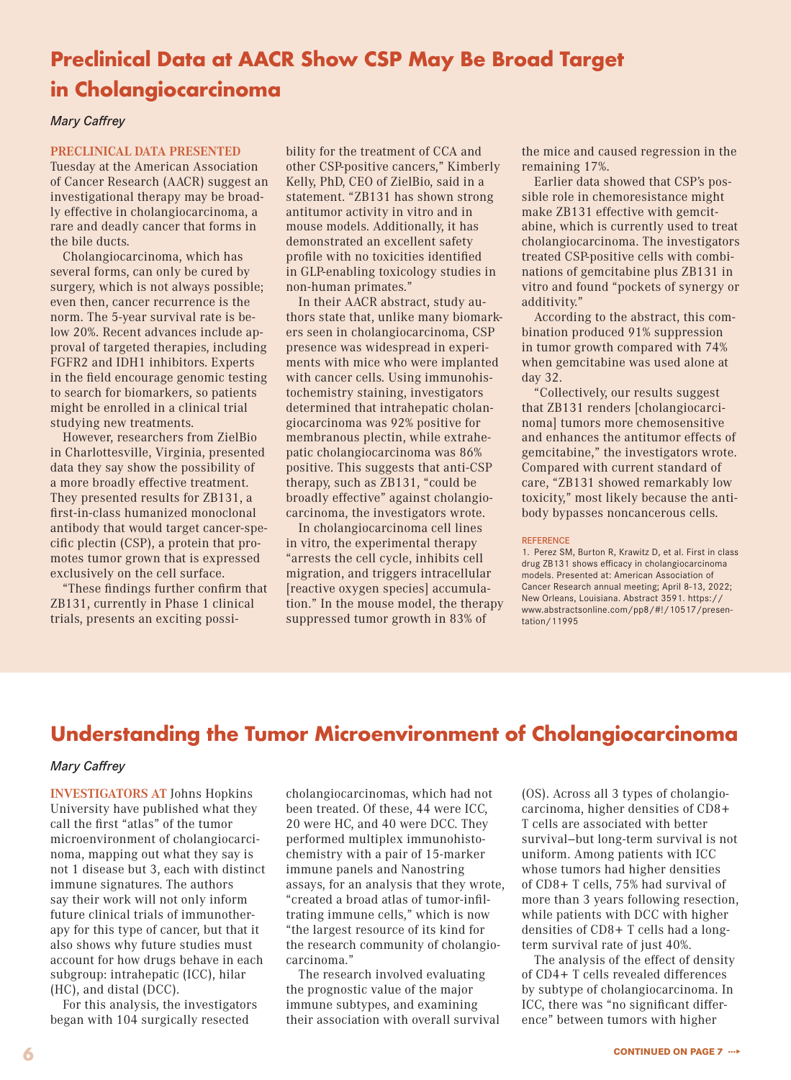# **Preclinical Data at AACR Show CSP May Be Broad Target in Cholangiocarcinoma**

## *Mary Caffrey*

### **PRECLINICAL DATA PRESENTED**

Tuesday at the American Association of Cancer Research (AACR) suggest an investigational therapy may be broadly effective in cholangiocarcinoma, a rare and deadly cancer that forms in the bile ducts.

Cholangiocarcinoma, which has several forms, can only be cured by surgery, which is not always possible; even then, cancer recurrence is the norm. The 5-year survival rate is below 20%. Recent advances include approval of targeted therapies, including FGFR2 and IDH1 inhibitors. Experts in the field encourage genomic testing to search for biomarkers, so patients might be enrolled in a clinical trial studying new treatments.

However, researchers from ZielBio in Charlottesville, Virginia, presented data they say show the possibility of a more broadly effective treatment. They presented results for ZB131, a first-in-class humanized monoclonal antibody that would target cancer-specific plectin (CSP), a protein that promotes tumor grown that is expressed exclusively on the cell surface.

"These findings further confirm that ZB131, currently in Phase 1 clinical trials, presents an exciting possibility for the treatment of CCA and other CSP-positive cancers," Kimberly Kelly, PhD, CEO of ZielBio, said in a statement. "ZB131 has shown strong antitumor activity in vitro and in mouse models. Additionally, it has demonstrated an excellent safety profile with no toxicities identified in GLP-enabling toxicology studies in non-human primates."

In their AACR abstract, study authors state that, unlike many biomarkers seen in cholangiocarcinoma, CSP presence was widespread in experiments with mice who were implanted with cancer cells. Using immunohistochemistry staining, investigators determined that intrahepatic cholangiocarcinoma was 92% positive for membranous plectin, while extrahepatic cholangiocarcinoma was 86% positive. This suggests that anti-CSP therapy, such as ZB131, "could be broadly effective" against cholangiocarcinoma, the investigators wrote.

In cholangiocarcinoma cell lines in vitro, the experimental therapy "arrests the cell cycle, inhibits cell migration, and triggers intracellular [reactive oxygen species] accumulation." In the mouse model, the therapy suppressed tumor growth in 83% of

the mice and caused regression in the remaining 17%.

Earlier data showed that CSP's possible role in chemoresistance might make ZB131 effective with gemcitabine, which is currently used to treat cholangiocarcinoma. The investigators treated CSP-positive cells with combinations of gemcitabine plus ZB131 in vitro and found "pockets of synergy or additivity."

According to the abstract, this combination produced 91% suppression in tumor growth compared with 74% when gemcitabine was used alone at day 32.

"Collectively, our results suggest that ZB131 renders [cholangiocarcinoma] tumors more chemosensitive and enhances the antitumor effects of gemcitabine," the investigators wrote. Compared with current standard of care, "ZB131 showed remarkably low toxicity," most likely because the antibody bypasses noncancerous cells.

#### **REFERENCE**

# **Understanding the Tumor Microenvironment of Cholangiocarcinoma**

### *Mary Caffrey*

**INVESTIGATORS AT** Johns Hopkins University have published what they call the first "atlas" of the tumor microenvironment of cholangiocarcinoma, mapping out what they say is not 1 disease but 3, each with distinct immune signatures. The authors say their work will not only inform future clinical trials of immunotherapy for this type of cancer, but that it also shows why future studies must account for how drugs behave in each subgroup: intrahepatic (ICC), hilar (HC), and distal (DCC).

For this analysis, the investigators began with 104 surgically resected

cholangiocarcinomas, which had not been treated. Of these, 44 were ICC, 20 were HC, and 40 were DCC. They performed multiplex immunohistochemistry with a pair of 15-marker immune panels and Nanostring assays, for an analysis that they wrote, "created a broad atlas of tumor-infiltrating immune cells," which is now "the largest resource of its kind for the research community of cholangiocarcinoma."

The research involved evaluating the prognostic value of the major immune subtypes, and examining their association with overall survival

(OS). Across all 3 types of cholangiocarcinoma, higher densities of CD8+ T cells are associated with better survival—but long-term survival is not uniform. Among patients with ICC whose tumors had higher densities of CD8+ T cells, 75% had survival of more than 3 years following resection, while patients with DCC with higher densities of CD8+ T cells had a longterm survival rate of just 40%.

The analysis of the effect of density of CD4+ T cells revealed differences by subtype of cholangiocarcinoma. In ICC, there was "no significant difference" between tumors with higher

<sup>1.</sup> Perez SM, Burton R, Krawitz D, et al. First in class drug ZB131 shows efficacy in cholangiocarcinoma models. Presented at: American Association of Cancer Research annual meeting; April 8-13, 2022; New Orleans, Louisiana. Abstract 3591. https:// www.abstractsonline.com/pp8/#!/10517/presentation/11995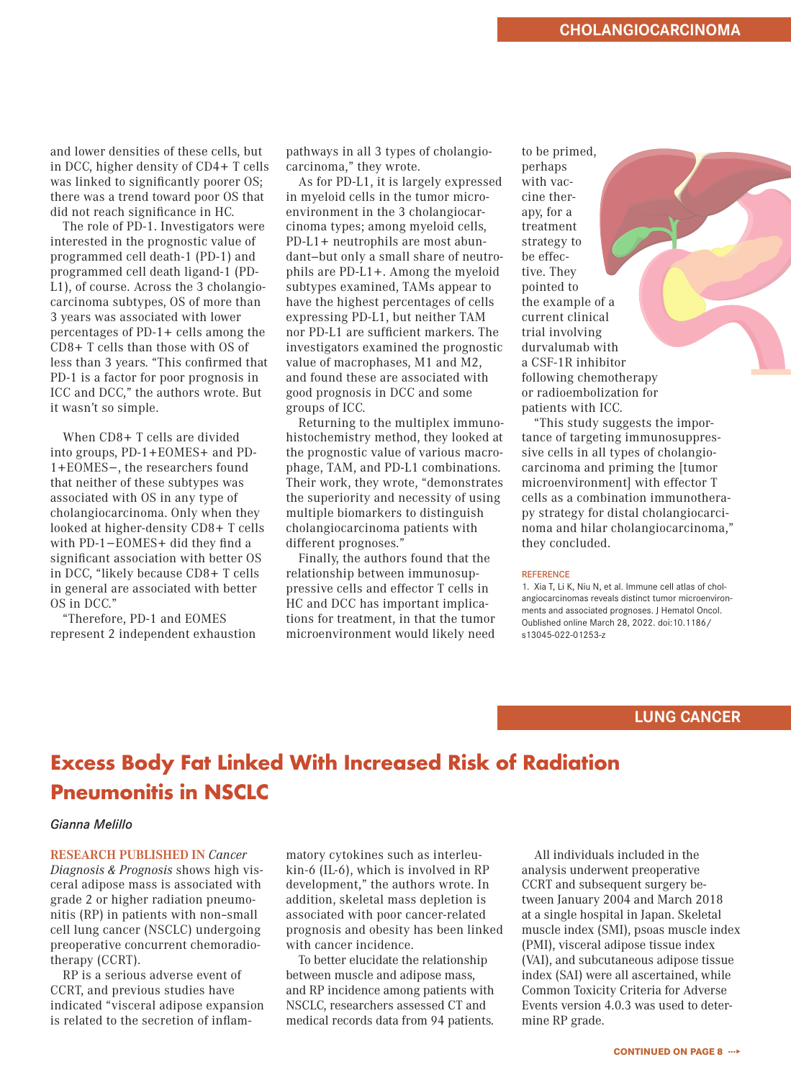and lower densities of these cells, but in DCC, higher density of CD4+ T cells was linked to significantly poorer OS; there was a trend toward poor OS that did not reach significance in HC.

The role of PD-1. Investigators were interested in the prognostic value of programmed cell death-1 (PD-1) and programmed cell death ligand-1 (PD-L1), of course. Across the 3 cholangiocarcinoma subtypes, OS of more than 3 years was associated with lower percentages of PD-1+ cells among the CD8+ T cells than those with OS of less than 3 years. "This confirmed that PD-1 is a factor for poor prognosis in ICC and DCC," the authors wrote. But it wasn't so simple.

When CD8+ T cells are divided into groups, PD-1+EOMES+ and PD-1+EOMES−, the researchers found that neither of these subtypes was associated with OS in any type of cholangiocarcinoma. Only when they looked at higher-density CD8+ T cells with PD-1−EOMES+ did they find a significant association with better OS in DCC, "likely because CD8+ T cells in general are associated with better OS in DCC."

"Therefore, PD-1 and EOMES represent 2 independent exhaustion pathways in all 3 types of cholangiocarcinoma," they wrote.

As for PD-L1, it is largely expressed in myeloid cells in the tumor microenvironment in the 3 cholangiocarcinoma types; among myeloid cells, PD-L1+ neutrophils are most abundant—but only a small share of neutrophils are PD-L1+. Among the myeloid subtypes examined, TAMs appear to have the highest percentages of cells expressing PD-L1, but neither TAM nor PD-L1 are sufficient markers. The investigators examined the prognostic value of macrophases, M1 and M2, and found these are associated with good prognosis in DCC and some groups of ICC.

Returning to the multiplex immunohistochemistry method, they looked at the prognostic value of various macrophage, TAM, and PD-L1 combinations. Their work, they wrote, "demonstrates the superiority and necessity of using multiple biomarkers to distinguish cholangiocarcinoma patients with different prognoses."

Finally, the authors found that the relationship between immunosuppressive cells and effector T cells in HC and DCC has important implications for treatment, in that the tumor microenvironment would likely need

to be primed, perhaps with vaccine therapy, for a treatment strategy to be effective. They pointed to the example of a current clinical trial involving durvalumab with a CSF-1R inhibitor following chemotherapy or radioembolization for patients with ICC.

"This study suggests the importance of targeting immunosuppressive cells in all types of cholangiocarcinoma and priming the [tumor microenvironment] with effector T cells as a combination immunotherapy strategy for distal cholangiocarcinoma and hilar cholangiocarcinoma," they concluded.

#### **REFERENCE**

1. Xia T, Li K, Niu N, et al. Immune cell atlas of cholangiocarcinomas reveals distinct tumor microenvironments and associated prognoses. J Hematol Oncol. Oublished online March 28, 2022. doi:10.1186/ s13045-022-01253-z

# **LUNG CANCER**

# **Excess Body Fat Linked With Increased Risk of Radiation Pneumonitis in NSCLC**

### *Gianna Melillo*

**RESEARCH PUBLISHED IN** *Cancer Diagnosis & Prognosis* shows high visceral adipose mass is associated with grade 2 or higher radiation pneumonitis (RP) in patients with non–small cell lung cancer (NSCLC) undergoing preoperative concurrent chemoradiotherapy (CCRT).

RP is a serious adverse event of CCRT, and previous studies have indicated "visceral adipose expansion is related to the secretion of inflammatory cytokines such as interleukin-6 (IL-6), which is involved in RP development," the authors wrote. In addition, skeletal mass depletion is associated with poor cancer-related prognosis and obesity has been linked with cancer incidence.

To better elucidate the relationship between muscle and adipose mass, and RP incidence among patients with NSCLC, researchers assessed CT and medical records data from 94 patients.

All individuals included in the analysis underwent preoperative CCRT and subsequent surgery between January 2004 and March 2018 at a single hospital in Japan. Skeletal muscle index (SMI), psoas muscle index (PMI), visceral adipose tissue index (VAI), and subcutaneous adipose tissue index (SAI) were all ascertained, while Common Toxicity Criteria for Adverse Events version 4.0.3 was used to determine RP grade.